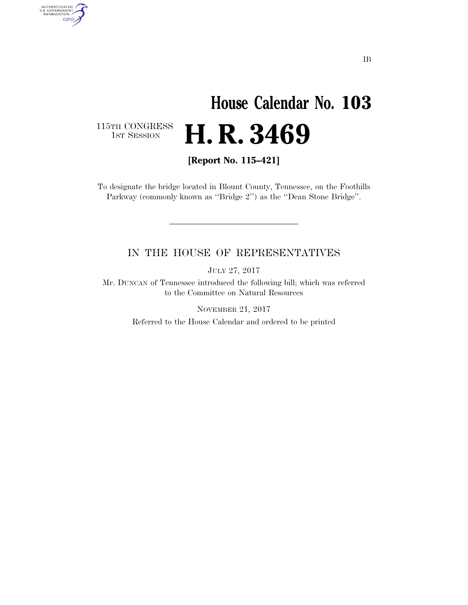# **House Calendar No. 103**  H. R. 3469

115TH CONGRESS<br>1st Session

AUTHENTICATED<br>U.S. GOVERNMENT<br>INFORMATION GPO

**[Report No. 115–421]** 

To designate the bridge located in Blount County, Tennessee, on the Foothills Parkway (commonly known as ''Bridge 2'') as the ''Dean Stone Bridge''.

### IN THE HOUSE OF REPRESENTATIVES

JULY 27, 2017

Mr. DUNCAN of Tennessee introduced the following bill; which was referred to the Committee on Natural Resources

> NOVEMBER 21, 2017 Referred to the House Calendar and ordered to be printed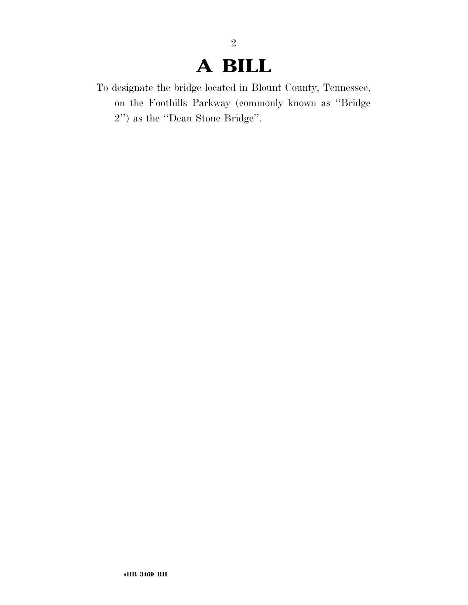## **A BILL**

2

To designate the bridge located in Blount County, Tennessee, on the Foothills Parkway (commonly known as ''Bridge 2'') as the ''Dean Stone Bridge''.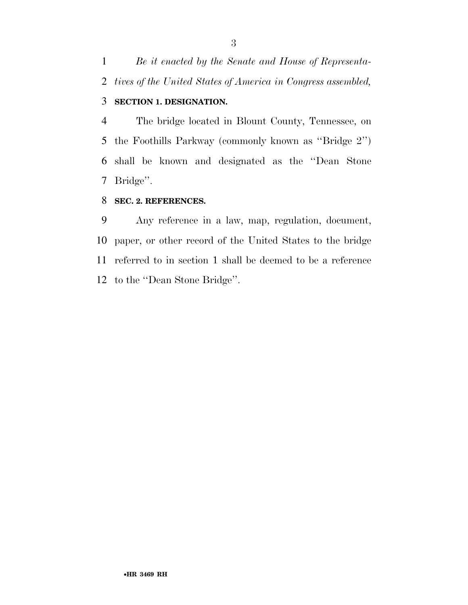*Be it enacted by the Senate and House of Representa-tives of the United States of America in Congress assembled,* 

### **SECTION 1. DESIGNATION.**

 The bridge located in Blount County, Tennessee, on the Foothills Parkway (commonly known as ''Bridge 2'') shall be known and designated as the ''Dean Stone Bridge''.

#### **SEC. 2. REFERENCES.**

 Any reference in a law, map, regulation, document, paper, or other record of the United States to the bridge referred to in section 1 shall be deemed to be a reference to the ''Dean Stone Bridge''.